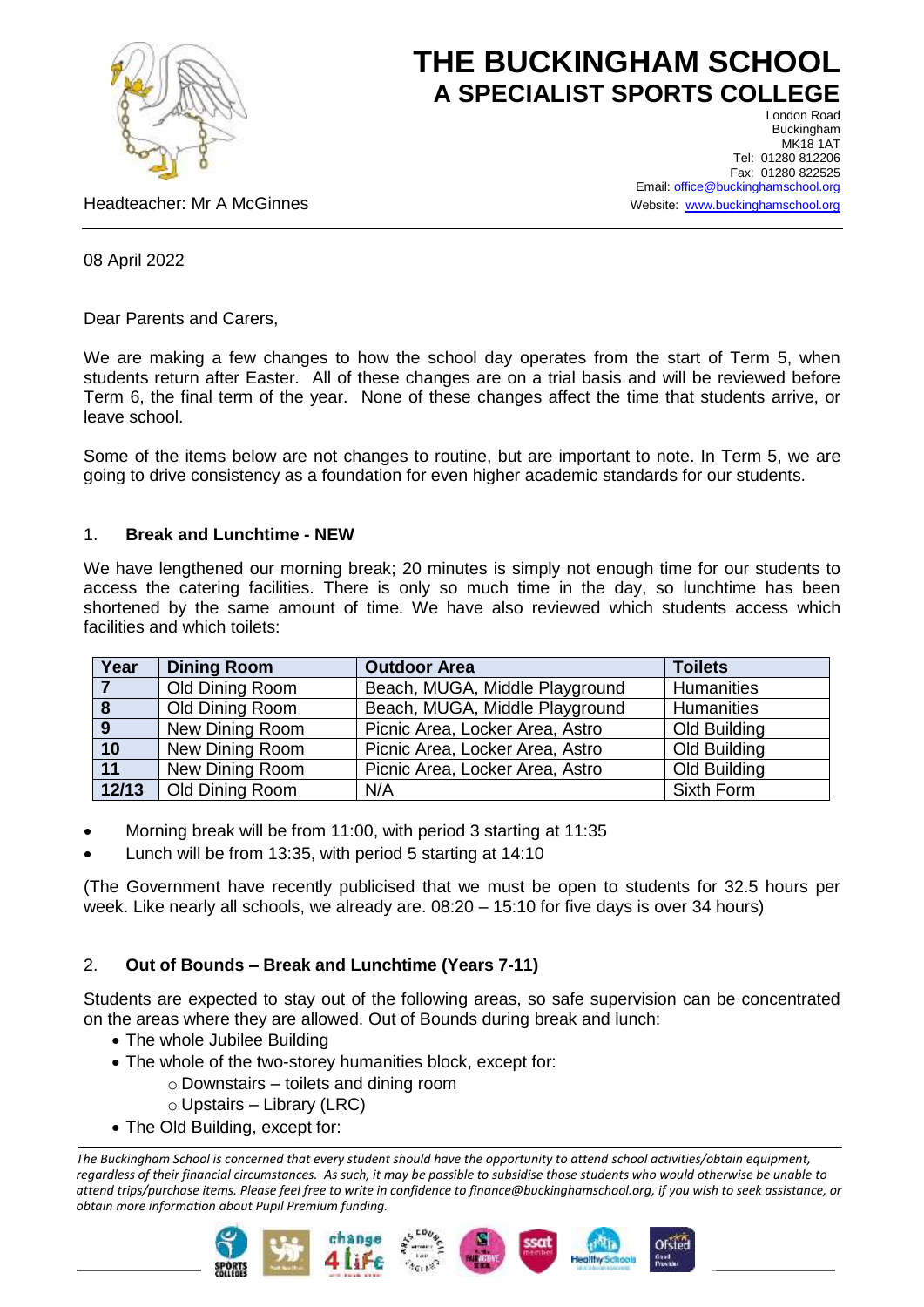

# **THE BUCKINGHAM SCHOOL A SPECIALIST SPORTS COLLEGE**

Headteacher: Mr A McGinnes

London Road Buckingham MK18 1AT Tel: 01280 812206 Fax: 01280 822525 Email[: office@buckinghamschool.org](mailto:office@buckinghamschool.org) Website: [www.buckinghamschool.org](http://www.buckinghamschool.org/)

## 08 April 2022

Dear Parents and Carers,

We are making a few changes to how the school day operates from the start of Term 5, when students return after Easter. All of these changes are on a trial basis and will be reviewed before Term 6, the final term of the year. None of these changes affect the time that students arrive, or leave school.

Some of the items below are not changes to routine, but are important to note. In Term 5, we are going to drive consistency as a foundation for even higher academic standards for our students.

### 1. **Break and Lunchtime - NEW**

We have lengthened our morning break; 20 minutes is simply not enough time for our students to access the catering facilities. There is only so much time in the day, so lunchtime has been shortened by the same amount of time. We have also reviewed which students access which facilities and which toilets:

| Year           | <b>Dining Room</b> | <b>Outdoor Area</b>             | <b>Toilets</b> |
|----------------|--------------------|---------------------------------|----------------|
| $\overline{7}$ | Old Dining Room    | Beach, MUGA, Middle Playground  | Humanities     |
|                | Old Dining Room    | Beach, MUGA, Middle Playground  | Humanities     |
| 9              | New Dining Room    | Picnic Area, Locker Area, Astro | Old Building   |
| 10             | New Dining Room    | Picnic Area, Locker Area, Astro | Old Building   |
| 11             | New Dining Room    | Picnic Area, Locker Area, Astro | Old Building   |
| 12/13          | Old Dining Room    | N/A                             | Sixth Form     |

- Morning break will be from 11:00, with period 3 starting at 11:35
- Lunch will be from 13:35, with period 5 starting at 14:10

(The Government have recently publicised that we must be open to students for 32.5 hours per week. Like nearly all schools, we already are. 08:20 – 15:10 for five days is over 34 hours)

# 2. **Out of Bounds – Break and Lunchtime (Years 7-11)**

Students are expected to stay out of the following areas, so safe supervision can be concentrated on the areas where they are allowed. Out of Bounds during break and lunch:

- The whole Jubilee Building
- The whole of the two-storey humanities block, except for:
	- o Downstairs toilets and dining room
	- $\circ$  Upstairs Library (LRC)
- The Old Building, except for:

*The Buckingham School is concerned that every student should have the opportunity to attend school activities/obtain equipment, regardless of their financial circumstances. As such, it may be possible to subsidise those students who would otherwise be unable to attend trips/purchase items. Please feel free to write in confidence to finance@buckinghamschool.org, if you wish to seek assistance, or obtain more information about Pupil Premium funding.*







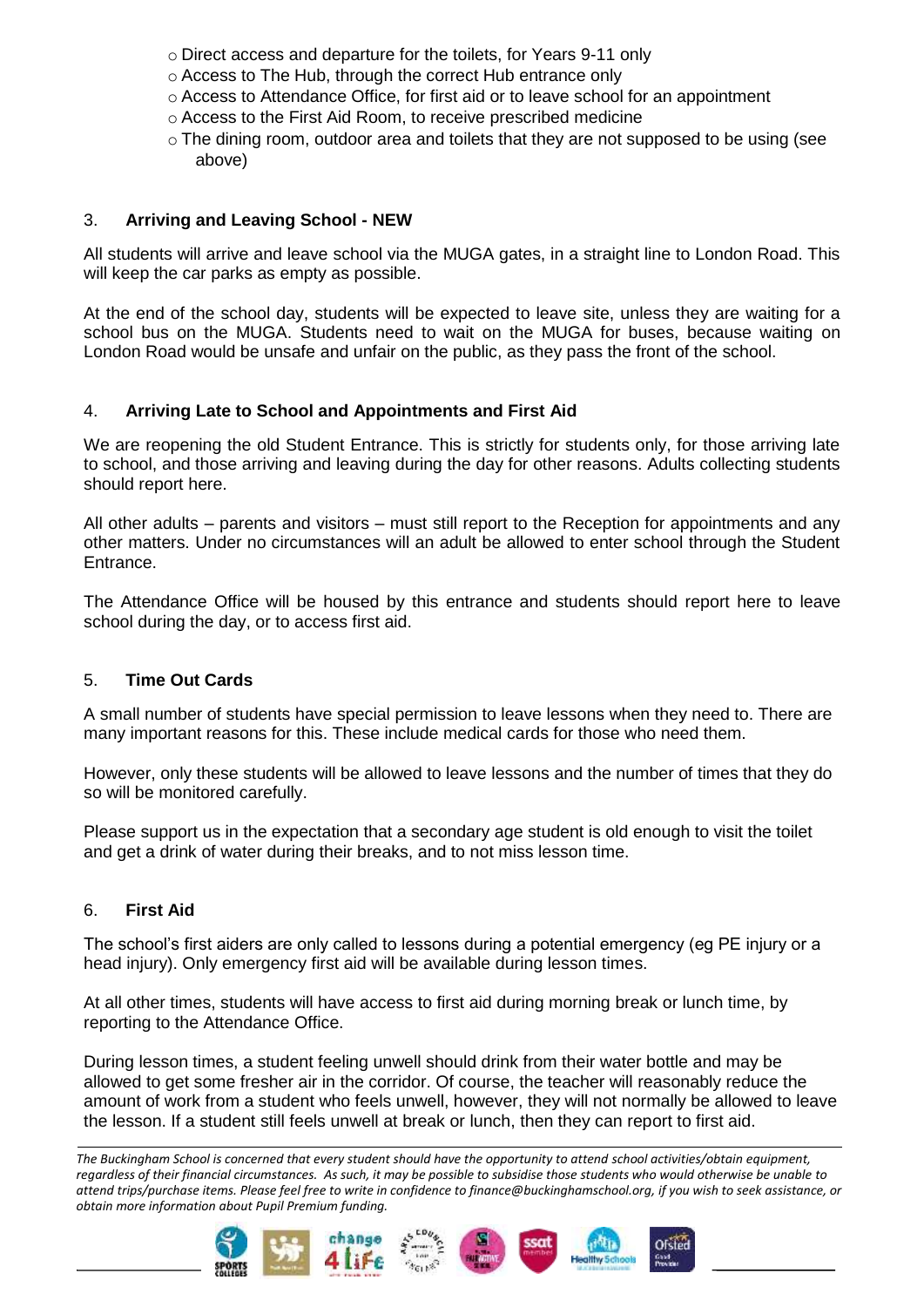- o Direct access and departure for the toilets, for Years 9-11 only
- o Access to The Hub, through the correct Hub entrance only
- $\circ$  Access to Attendance Office, for first aid or to leave school for an appointment
- o Access to the First Aid Room, to receive prescribed medicine
- $\circ$  The dining room, outdoor area and toilets that they are not supposed to be using (see above)

# 3. **Arriving and Leaving School - NEW**

All students will arrive and leave school via the MUGA gates, in a straight line to London Road. This will keep the car parks as empty as possible.

At the end of the school day, students will be expected to leave site, unless they are waiting for a school bus on the MUGA. Students need to wait on the MUGA for buses, because waiting on London Road would be unsafe and unfair on the public, as they pass the front of the school.

## 4. **Arriving Late to School and Appointments and First Aid**

We are reopening the old Student Entrance. This is strictly for students only, for those arriving late to school, and those arriving and leaving during the day for other reasons. Adults collecting students should report here.

All other adults – parents and visitors – must still report to the Reception for appointments and any other matters. Under no circumstances will an adult be allowed to enter school through the Student Entrance.

The Attendance Office will be housed by this entrance and students should report here to leave school during the day, or to access first aid.

### 5. **Time Out Cards**

A small number of students have special permission to leave lessons when they need to. There are many important reasons for this. These include medical cards for those who need them.

However, only these students will be allowed to leave lessons and the number of times that they do so will be monitored carefully.

Please support us in the expectation that a secondary age student is old enough to visit the toilet and get a drink of water during their breaks, and to not miss lesson time.

### 6. **First Aid**

The school's first aiders are only called to lessons during a potential emergency (eg PE injury or a head injury). Only emergency first aid will be available during lesson times.

At all other times, students will have access to first aid during morning break or lunch time, by reporting to the Attendance Office.

During lesson times, a student feeling unwell should drink from their water bottle and may be allowed to get some fresher air in the corridor. Of course, the teacher will reasonably reduce the amount of work from a student who feels unwell, however, they will not normally be allowed to leave the lesson. If a student still feels unwell at break or lunch, then they can report to first aid.

*The Buckingham School is concerned that every student should have the opportunity to attend school activities/obtain equipment, regardless of their financial circumstances. As such, it may be possible to subsidise those students who would otherwise be unable to attend trips/purchase items. Please feel free to write in confidence to finance@buckinghamschool.org, if you wish to seek assistance, or obtain more information about Pupil Premium funding.*